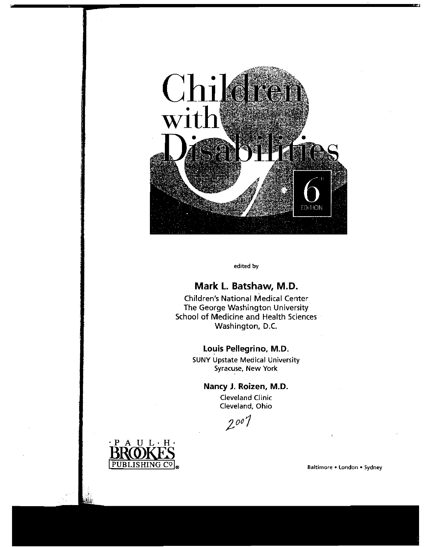

**edited by** 

### **Mark L. Batshaw, M.D.**

**Children's National Medical Center The George Washington University School of Medicine and Health Sciences Washington, D.C.** 

### **Louis Pellegrino, M.D.**

**SUNY Upstate Medical University Syracuse, New York** 

### **Nancy J. Roizen, M.D.**

**Cleveland Clinic Cleveland, Ohio** 

 $2007$ 



**Baltimore** . **London. Sydney**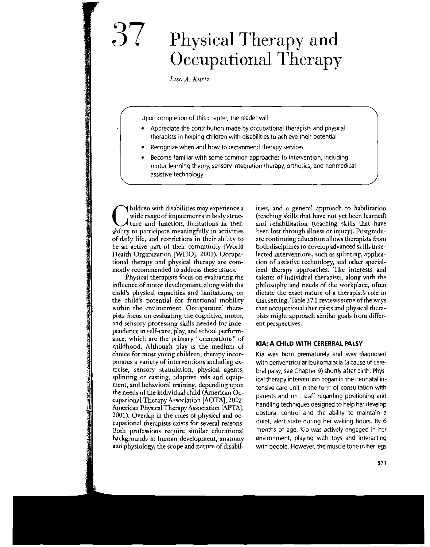# *Physical Therapy and* Occupational Therapy

Lisa A. Kurtz

/"

Upon completion of this chapter, the reader will

- Appreciate the contribution made by occupational therapists and physical therapists in helping children with disabilities to achieve their potential
- Recognize when and how to recommend therapy services
- Become familiar with some common approaches to intervention, including motor learning theory, sensory integration therapy, orthotics, and nonmedical assistive technology

In hildren with disabilities may experience a<br>wide range of impairments in body struc-<br>ture and function, limitations in their<br>ability to participate meaningfully in activities wide rangeofimpairmentsin body strucability to participate meaningfully in activities of daily life, and restrictions in their ability to be an active part of their community (World Health Organization [WHO], 2001). Occupational therapy and physical therapy are commonly recommended to address these issues.

Physical therapists focus on evaluating the influence of motor development, alongwith the child's physical capacities and limitations, on the child's potential for functional mobility within the environment. Occupational therapists focus on evaluating the cognitive, motor, and sensory processing skills needed for independence in self-care, play, and school performance, which are the primary "occupations" of childhood. Although play is the medium of choice for most young children, therapy incorporates a variety of interventions including exercise, sensory stimulation, physical agents, splinting or casting, adaptive aids and equipment, and behavioral training, depending upon the needs of the individual child (American Occupational Therapy Association [AOTA], 2002; American Physical Therapy Association **[AFTA],**  2001). Overlap in the roles of physical and occupational therapists exists for several reasons. Both professions require similar educational backgrounds in human development, anatomy and physiology, the scope and nature of disabilities, and a general approach to habilitation (teaching skills that have not yet been learned) and rehabilitation (teaching skills that have been lost through illness or injury). Postgraduate continuing education allows therapists from both disciplines to develop advanced skills in selected interventions, such as splinting, application of assistive technology, and other specialized therapy approaches. The interests and talents of individual therapists, along with the philosophy and needs of the workplace, often dictate the exact nature of a therapist's role in that setting. Table 37.1 reviews some of the ways that occupational therapists and physical therapists might approach similar goals from different perspectives.

### **KIA: A CHILD WITH CEREBRAL PALSY**

Kia was born prematurely and was diagnosed with periventricular leukomalacia (a cause of cerebral palsy; see Chapter 9) shortly after birth. Physical therapy intervention began in the neonatal intensive care unit in the form of consultation with parents and unit staff regarding positioning and handling techniques designed to help her develop postural control and the ability to maintain a quiet, alert state during her waking hours. By 6 months of age. Kia was actively engaged in her environment, playing with toys and interacting with people. However, the muscle tone in her legs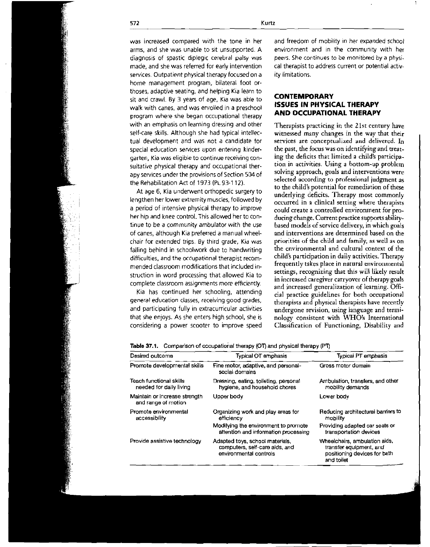arms, and she was unable to sit unsupported. A environment and in the community with her diagnosis of spastic diplegic cerebral palsy was peers. She continues to be monitored by a physidiagnosis of spastic diplegic cerebral palsy was made, and she was referred for early intervention cal therapist to address current or potential activservices. Outpatient physical therapy focused on a ity limitations. home management program, bilateral foot orthoses, adaptive seating, and helping Kia learn to sit and crawl. By 3 years of age. Kia was able to **CONTEMPORARY**<br> **CONTEMPORARY CONTEMPORARY CONTEMPORARY** walk with canes, and was enrolled in a preschool **ISSUES IN PHYSICAL INERAPY ISSUES IN PHYSICAL THERAPY** program where she began occupational therapy with an emphasis on learning dressing and other  $\frac{m}{r}$  Therapists practicing in the 21st century have self-care skills. Although she had typical intellec- with essed many changes in the way that their tual development and was not a candidate for special education services upon entering kinder-<br>staten Kia was eligible to continue receiving con-<br>ing the deficits that limited a child's participagarten, Kia was eligible to continue receiving con- ing the deficits that limited a child's participa-<br>sultative physical therapy and occupational ther- tion in activities. Using a bottom-up problem sultative physical therapy and occupational ther-<br>solving approach, goals and interventions were<br>solving approach, goals and interventions were apy services under the provisions of Section 504 of the Rehabilitation Act of 1973 (PL93-1 **12).** selected according to professional judgment as

At age 6, Kia underwent orthopedic surgery to the common commonly deficits. Therapy most commonly experienced in a clinical commonly lengthen her lower extremity muscles, followed by occurred in a clinical setting where therapists<br>a period of intensive physical therapy to improve only create a controlled environment for proa period of intensive physical therapy to improve could create a controlled environment for pro-<br>her hip and knee control. This allowed her to con-<br>ducing change Current practice supports abilityher hip and knee control. This allowed her to con- ducing change. Current practice supports ability-<br>tinue to be a community ambulator with the use based models of service delivery, in which goals of canes, although Kia preferred a manual wheelchair for extended trips. By third grade, Kia was priorities of the child and family, as well as on falling behind in schoolwork due to handwriting the environmental and cultural context of the<br>difficulties, and the occupational therapist recom-<br>child's participation in daily activities. Therapy difficulties, and the occupational therapist recommended classroom modifications that included in-<br>mended classroom modifications that included in-<br>settings, recognizing that this will likely result struction in word processing that allowed Kia to settings, recognizing that this will likely result

general education classes, receiving good grades, the rapists and physical therapists have recently<br>and participating fully in extracurricular activities undergone revision, using language and termithat she enjoys. As she enters high school, she is  $\qquad$  nology consistent with  $\rm \widetilde{W}\rm H\widetilde{O}'s$  International considering a power scooter to improve speed  $\qquad$  Classification of Functioning, Disability and considering a power scooter to improve speed

was increased compared with the tone in her and freedom of mobility in her expanded school

witnessed many changes in the way that their<br>services are conceptualized and delivered. In to the child's potential for remediation of these based models of service delivery, in which goals<br>and interventions are determined based on the complete classroom assignments more efficiently and increased generalization of learning. Offi-Kia has continued her schooling, attending and increased generalization of learning. Official practice guidelines for both occupational general education classes, receiving good grades. herapists and physical therapists ha

| Desired outcome                                      | <b>Typical OT emphasis</b>                                                                  | Typical PT emphasis                                                                                    |
|------------------------------------------------------|---------------------------------------------------------------------------------------------|--------------------------------------------------------------------------------------------------------|
| Promote developmental skills                         | Fine motor, adaptive, and personal-<br>social domains                                       | Gross motor domain                                                                                     |
| Teach functional skills<br>needed for daily living   | Dressing, eating, toileting, personal<br>hygiene, and household chores                      | Ambulation, transfers, and other<br>mobility demands                                                   |
| Maintain or increase strength<br>and range of motion | Upper body                                                                                  | Lower body                                                                                             |
| Promote environmental<br>accessibility               | Organizing work and play areas for<br>efficiency                                            | Reducing architectural barriers to<br>mobility                                                         |
|                                                      | Modifying the environment to promote<br>attention and information processing                | Providing adapted car seats or<br>transportation devices                                               |
| Provide assistive technology                         | Adapted toys, school materials,<br>computers, self-care aids, and<br>environmental controls | Wheelchairs, ambulation aids,<br>transfer equipment, and<br>positioning devices for bath<br>and toilet |

- -

**Table 37.1.** Comparison of occupational therapy (OT) and physical therapy (PT)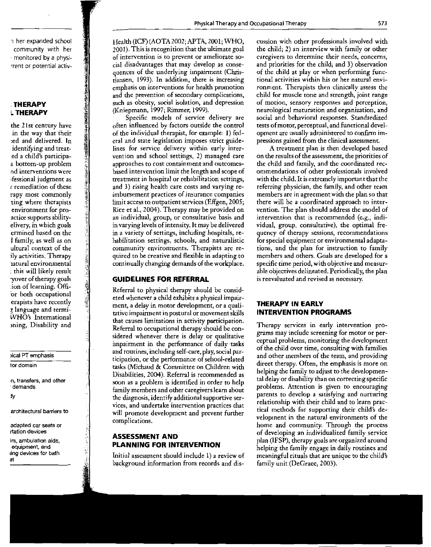i her expanded school community with her monitored by a physi- (rent or potential activ-

### . **THERAPY L THERAPY**

the 2 1st century have in the way that their :ed and delivered. In identifying and treated a child's participaa bottom-up problem nd interventions were ~fessional judgment as r remediation of these rapy most commonly ting where therapists environment for proactice supports abilityelivery, in which goals ermined based on the **I** family, as well as on ultural context of the ily activities. Therapy latural environmental this will likely result yover of therapy goals :ion of learning. Offior both occupational or both occupational<br>erapists have recently<br>fanguage and termi-WHO's International ~ning, Disability and

**xical PT** emphasis

tor domain

In, transfers, and other demands

**jY** 

architectural barriers to

ling devices for bath

Health (ICF) (AOTA 2002; APTA, 2001; WHO, 2001). This is recognition that the ultimate goal of intervention is to prevent or ameliorate social disadvantages that may develop as consequences of the underlying impairment (Christiansen, 1993). In addition, there is increasing emphasis on interventions for health promotion and the prevention of secondary complications, such as obesity, social isolation, and depression (Kniepmann, 1997; Rimmer, 1999).

Specific models of service delivery are often influenced by factors outside the control of the individual therapist, for example: 1) federal and state legislation imposes strict guidelines for service delivery within early intervention and school settings, 2) managed care approaches to cost containment and outcomesbased intervention limit the length and scope of treatment in hospital or rehabilitation settings, and 3) rising health care costs and varying reimbursement practices of insurance companies limit access to outpatient services (Effgen, 2005; Rice et al., 2004). Therapy may be provided on an individual, group, or consultative basis and invarying levels of intensity. It may be delivered in a variety of settings, including hospitals, rehabilitation settings, schools, and naturalistic community environments. Therapists are required to be creative and flexible in adapting to continually changing demands of the workplace.

### **GUIDELINES FOR REFERRAL**

Referral to physical therapy should be consideted whenever a child exhibits a physieal impairment, a delay in motor development, or a qualitative impairment in postural or movement skills that causes limitations in activity participation. Referral to occupational therapy should be considered whenever there is delay or qualitative impairment in the performance of daily tasks and routines, includingself-care, play, social participation, or the performance of sebool-related tasks (Michaud & Committee on Children with Disabilities, 2004). Referral is recommended as soon as a problem is identified in order to help family members and other caregivers learn about the diagnosis, identify additional supportive services, and undertake intervention practices that will promote development and prevent further complications.

background information from records and dis-

cussion with other professionals involved with the child; 2) an interview with family or other caregivers to determine their needs, eoncerns, and priorities for the child; and 3) observation of the child at play or when performing functional activities within his or her natural environment. Therapists then clinically assess the child for muscle tone and strength, joint range of motion, sensory responses and perception, neurological maturation and organization, and social and behavioral responses. Standardized tests ofmotor, perceptual, and functional development are usually administered to confirm impressions gajned from the clinical assessment.

A treatment plan is then developed based on the results of the assessment, the priorities of the child and family, and the coordinated recommendations of other professionals involved with the child. It is extremely important that the referring physician, the family, and other team members are in agreementwith the plan so that there will be a coordinated approach to intervention. The plan should address the model of intervention that is recommended (e.g., individual, group, consultative), the optimal frequency of therapy sessions, recommendations for special equipment or environmental adaptations, and the plan for instruction to family members and others. Goals are developed for a specific time period, with objective and measurable objectives delineated. Periodically, the plan is reevaluated and revised as necessary.

### **THERAPY IN EARLY INTERVENTION PROGRAMS**

Therapy services in early intervention programs may include screening for motor or perceptual problems, monitoring the development of the child over time, consulting with families and other members of the team, and providing direet therapy. Often, the emphasis is more on helping the family to adjust to the developmental delay or disability than on correcting specific problems. Attention is given to encouraging parents to develop a satisfying and nurturing relationship with their child and to learn practical methods for supporting their child's development in the natural environments of the complications.<br>adapted car seats or complications.<br>dation devices of development and community. Through the process<br>of development and community. Through the process adapted car seats or and community. Through the process<br> **ASSESSMENT AND ASSESSMENT AND of developing an individualized family service**<br> **ASSESSMENT AND CONSTANT AND** Franch developing an individualized rainity service<br>
irs, ambulation aids, **PLANNING FOR INTERVENTION** plan (IFSP), therapy goals are organized around<br>
plan (IFSP), therapy goals are organized around<br>
plan (IFSP), therapy helping the family engage in daily routines and Initial assessment should include 1) a review of meaningful rituals that are unique to the child's background information from records and dis-<br> $\frac{1}{2}$  family unit (DeGrace, 2003).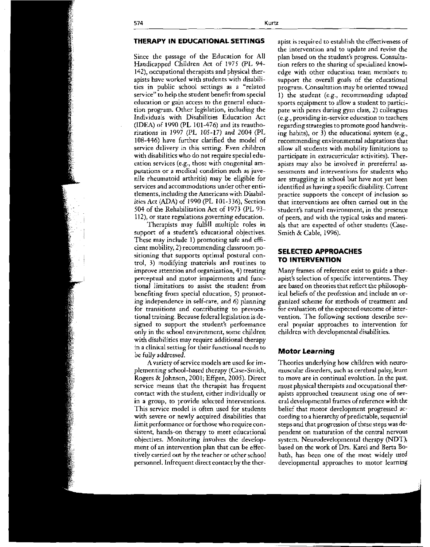### **THERAPY IN EDUCATIONAL SETTINGS** apist is required to establish the effectiveness of

Since the passage of the Education for All plan based on the student's progress. Consulta-<br>Handicapped Children Act of 1975 (PL 94- tion refers to the sharing of specialized knowl-Handicapped Children Act of 1975 (PL 94-<br>142), occupational therapists and physical ther-<br>edge with other education team members to 142), occupational therapists and physical ther- edge with other education team members to ties in public school settings as a "related service" to help the student benefit from special service" to help the student benefit from special  $\qquad$  1) the student (e.g., recommending adapted education or gain access to the general educa-<br>sports equipment to allow a student to particieducation or gain access to the general educa-<br>tion program. Other legislation, including the pate with peers during gym class, 2) colleagues tion program. Other legislation, including the pate with peers during gym class, 2) colleagues<br>Individuals with Disabilities Education Act (e.g., providing in-service education to teachers Individuals with Disabilities Education Act (e.g., providing in-service education to teachers (IDEA) of 1990 (PL 101-476) and its reautho-<br>
regarding strategies to promote good handwrit-(IDEA) of 1990 **(PL** 101-476) and its reautho- regardingstrategies to promotegood handwritrizations in 1997 (PL 105-17) and 2004 (PL ing habits), or **3)** the educational system (e.g., 108-446) have further clarified the model of recommending environmental adaptations that<br>service delivery in this setting. Even children allow all students with mobility limitations to with disabilitics who do not require special edu-<br>cation services (e.g., those with congenital amcation services (e.g., those with congenital am-<br>
putations or a medical condition such as juve-<br>
sessments and interventions for students who putations or a medical condition such as juve-<br>
interventions for students who<br>
inde rheumatoid arthritis) may be eligible for<br>
are struggling in school but have not vet been nile rheumatoid arthritis) may be eligible for are struggling in school but have not yet been<br>services and accommodations under other enti-<br>identified as having a specific disability. Current services and accommodations under other enti-<br>tlements, including the Americans with Disabil-<br>practice supports the concept of inclusion so ities Act (ADA) of 1990 (PL 101-336), Section<br>504 of the Rehabilitation Act of 1973 (PL 93-504 of the Rehabilitation Act of 1973 (PL 93-<br>112), or state regulations governing education. of peers, and with the typical tasks and materi-

support of a student's educational objectives. These may include 1) promoting safe and eftcient mobility, 2) recommending classroom positioning that supports optimal postural control, 3) modifying materials and routines to **TO INTERVENTION**  improve attention and organization, 4) treating Many frames of reference exist to guide a therperceptual and motor impairments and func- apist's selection of specific interventions. They tional limitations to assist the student from are based on theories that reflect the philosophbenefiting from special education, 5) proniot- ical beliefs of the profession and include an or-<br>ing independence in self-care, and 6) planning and ganized scheme for methods of treatment and ing independence in self-care, and  $6$ ) planning ganized scheme for methods of treatment and for transitions and contributing to prevoca- for evaluation of the expected outcome of interfor transitions and contributing to prevoca- for evaluation of the expected outcome of inter-<br>tional training. Because federal legislation is de- vention. The following sections describe sevtional training. Because federal legislation is de- vention. The following sections describe sev-<br>signed to support the student's performance eral popular approaches to intervention for signed to support the student's performance eral popular approaches to interventionly in the school environment, some children children with developmental disabilities. only in the school environment, some children with disabilities may require additional therapy in a clinical setting for their functional nccds to be fully addressed. **Motor Learning** 

plementing school-based therapy (Case-Smith, Rogers & Johnson, 2001; Effgen, 2005). Direct to move are in continual evolution. In the past,<br>service means that the therapist has frequent most physical therapists and occupational therservice means that the therapist has frequent contact with the student, either individually or apists approached treaunent using one of sevin a group, to provide selected interventions. eral developmental frames of reference with the This service model is often used for students belief that motor development progressed acwith severe or newly acquired disabilities that cording to a hierarchy of predictable, sequential limit performance or forthose who require con- stepsand that progression ofthese steps was desistent, hands-on therapy to meet educational pendent on maturation of the central nervous objectives. Monitoring involves the develop- system. Neurodwelopmental therapy (NDT), ment of an intervention plan that can be effec- based on the work of Drs. Karel and Berta BOtively carried out by the teacher or other school bath, has been one of the most widely used

the intervention and to update and revise the support the overall goals of the educational<br>program. Consultation may be oriented toward allow all students with mobility limitations to<br>participate in extracurricular activities). Therpractice supports the concept of inclusion so<br>that interventions are often carried out in the , or state regulations governing education. of peers, and with the typical tasks and materi-<br>Therapists may fulfill multiple roles in als that are expected of other students (Caseals that are expected of other students (Case-<br>Smith & Cable, 1996).

## **SELECTED APPROACHES**

A variety of service models are used for im-<br>A variety of service models are used for im-<br>Theories underlying how children yasardan palsy, learn heard the range (Case-Smith, personnel. Infrequent direct eontact by the her- developmental approaches to motor learning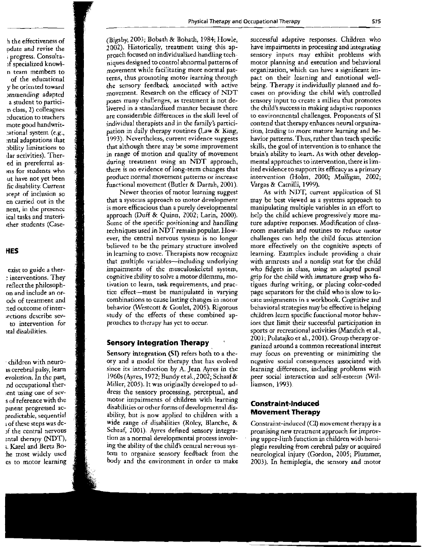h the effectiveness of pdate and revise the ; progress. Consultaof specialized knowln team members to of the educational y be oriented toward ommending adapted a student to particin class, 2) colleagues education to teachers mote good handwritcational system (e.g., intal adaptations that obility limitations to dar activities). Thered in prereferral asins for students who ut have not yet been fic disability. Current reept of inclusion so en carried out in the nent, in the presence ical tasks and materiither students (Case-

### **HES**

exist to guide a ther-: interventions. They reflect the philosophon and include an orods of treatment and ted outcome of intersections describe sevto intervention for nal disabilities.

children with neuroas cerebral palsy, learn evolution. In the past, nd occupational therent using one of sevs of reference with the pinent progressed acpredictable, sequential 1 of these steps was deof the central nervous ental therapy (NDT), s. Karel and Berta Bohe most widely used es to motor learning (Bigsby, 2003; Bobath & Bobath, 1984; Howle,  $2002$ ). Historically, treatment using this approach focused on individualized handling techniques designed to control abnormal patterns of movement while facilitating more normal patterns, thus promoting motor learning through the sensory feedback associated with active movement. Research on the efficacy of NDT poses many challenges, as treatment is not delivered in a standardized manner because there are considerable differences in the skill level of individual therapists and in the family's particination in daily therapy routines (Law & King, 1993). Nevertheless, current evidence suggests that although there may be some improvement in range of motion and quality of movement during treatment using an NDT approach, there is no evidence of long-term changes that produce normal movement patterns or increase functional movement (Butler & Darrah, 2001).

Newer theories of motor learning suggest that a systems approach to motor development is more efficacious than a purely developmental approach (Duff & Quinn, 2002; Larin, 2000). Some of the specific positioning and handling techniques used in NDT remain popular. However, the central nervous system is no longer believed to be the primary structure involved in learning to move. Therapists now recognize that multiple variables-including underlying impairments of the musculoskeletal system, cognitive ability to solve a motor dilemma, motivation to learn, task requirements, and practice effect-must be manipulated in varving combinations to cause lasting changes in motor behavior (Westcott & Goulet, 2005). Rigorous study of the effects of these combined approaches to therapy has yet to occur.

### **Sensory Integration Therapy**

Sensory integration (SI) refers both to a theory and a model for therapy that has evolved since its introduction by A. Jean Ayres in the 1960s (Ayres, 1972; Bundy et al., 2002; Schaaf & Miller, 2005). It was originally developed to address the sensory processing, perceptual, and motor impairments of children with learning disabilities or other forms of developmental disability, but is now applied to children with a wide range of disabilities (Roley, Blanche, & Schoaf, 2001). Ayres defined sensory integration as a normal developmental process involving the ability of the child's central nervous system to organize sensory feedback from the body and the environment in order to make

successful adaptive responses. Children who have impairments in processing and integrating sensory inputs may exhibit problems with motor planning and execution and behavioral organization, which can have a significant impact on their learning and emotional wellbeing. Therapy is individually planned and focuses on providing the child with controlled sensory input to create a milieu that promotes the child's success in making adaptive responses to environmental challenges. Proponents of Sl contend that therapy enhances neural organization, leading to more mature learning and behavior patterns. Thus, rather than teach specific skills, the goal of intervention is to enhance the brain's ability to learn. As with other developmental approaches to intervention, there is limited evidence to support its efficacy as a primary intervention (Holm, 2000; Mulligan, 2002; Vargas & Camilli, 1999).

As with NDT, current application of SI may be best viewed as a systems approach to manipulating multiple variables in an effort to help the child achieve progressively more mature adaptive responses. Modification of classroom materials and routines to reduce motor challenges can help the child focus attention more effectively on the cognitive aspects of learning. Examples include providing a chair with armrests and a nonslip seat for the child who fidgets in class, using an adapted pencil grip for the child with immature grasp who fatigues during writing, or placing color-coded page separators for the child who is slow to locate assignments in a workbook. Cognitive and behavioral strategies may be effective in helping children learn specific functional motor behaviors that limit their successful participation in sports or recreational activities (Mandich et al., 2001; Polatajko et al., 2001). Group therapy organized around a common recreational interest may focus on preventing or minimizing the negative social consequences associated with learning differences, including problems with peer social interaction and self-esteem (Williamson, 1993).

### **Constraint-Induced Movement Therapy**

Constraint-induced (CI) movement therapy is a promising new treatment approach for improving upper-limb function in children with hemiplegia resulting from cerebral palsy or acquired neurological injury (Gordon, 2005; Plummer, 2003). In hemiplegia, the sensory and motor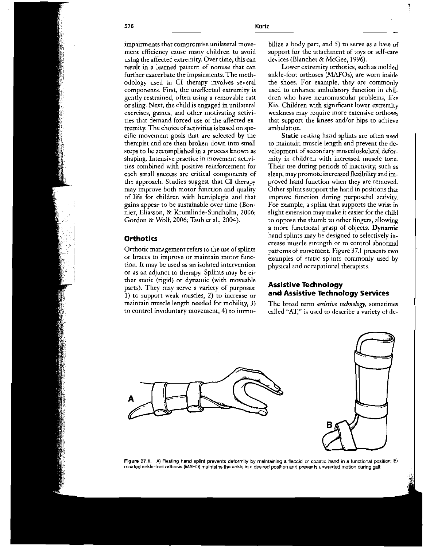impairments that compromise unilateral move- bilize a body part, and 5) to serve as a base of ment efficiency cause many children to avoid support for the attachment of toys or self-care using the affected extremity. Over time, this can devices (Blanchet & McGee, 1996). result in a learned pattern of nonuse that can 1, Lower extremity orthotics, such as molded further exacerbate the impairments. The meth- ankle-foot orthoses (MAFOs), are worn inside odology used in CI therapy involves several the shoes. For example, they are commonly components. First, the unaffected extremity is used to enhance ambulatory function in chilcomponents. First, the unaffected extremity is gently restrained, often using a removable cast dren who have neuromuscular problems, like or sling. Next, the child is engaged in unilateral Kia. Children with significant lower extremity exercises, games, and other motivating activi-<br>weakness may require more extensive orthoses ties that demand forced use of the affected ex- that support the knees and/or hips to achieve tremity. The choice of activities is based on spe- ambulation. citic movement goals that are selected by the Static resting hand splints are often used therapist and are then broken down into small to maintain muscle length and prevent the desteps to be accomplished in a process known as velopment of seeondary musculoskeletal deforshaping. Intensive practice in movement activi- mity in children with increased musele tone. ties combined with positive reinforcement for Their use during periods of inactivity, such as each small success are critical components of sleep, may promote increased flexibility and imthe approach. Studies suggest that CI therapy proved hand function when they are removed. may improve both motor function and quality Other splints support the hand in positions that of life for children with hemiplegia and that improve function during purposeful activity. gains appear to be sustainable over time (Ron- For example, a splint that supports the mist in nier, Eliasson, & Krumlinde-Sundholm, 2006; slight extension may make it easier for the child Gordon & Wolf, 2006; Taub et al., 2004). to oppose the thumb to other fingers, allowing

tion. It may be used as an isolated intervention physical and occupational therapists. or as an adjunct to therapy. Splints may be either static (rigid) or dynamic (with moveable parts). They may serve a variety of purposes:<br>
1) to support weak muscles 2) to increase or **and Assistive Technology Services** 1) to support weak muscles, 2) to increase or maintain muscle length needed for mobility, 3)

-

a more functional grasp of objects. Dynamic **Orthotics hand splints may be designed to selectively in**crease muscle strength or to control abnormal Orthotic management refers to the use of splints patterns of movement. Figure 37.1 presents two<br>or braees to improve or maintain motor func-<br>examples of static splints commonly used by examples of static splints commonly used by

maintain muscle length needed for mobility, 3) The broad term *assistive technology*, sometimes<br>to control involuntary movement, 4) to immo-<br>called "AT," is used to describe a variety of decalled "AT," is used to describe a variety of de-



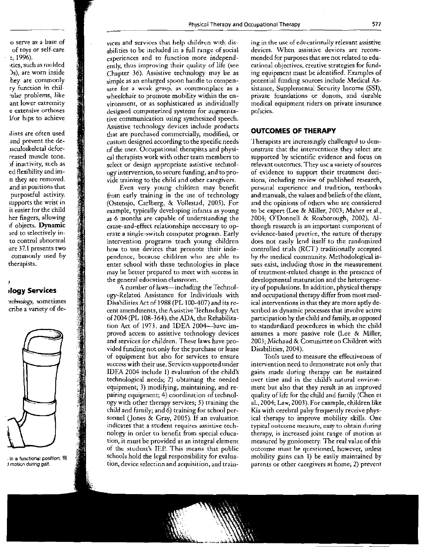o serve as a base of of toys or self-care **2,** 1996).

tics, such as molded Is), are worn inside hey are commonly ry function in chilvlar problems, like ant lower extremity **e** extensive orthoses I/or hips to achieve

lints are often used and prevent the de- ~sculoskeletal deforreased muscle tone. ,f inactivity, sueh as ed flexibility and imn they are removed. and in positions that purposeful activity. ;upports the wrist in it easier for the child her fingers, allowing of objects. Dynamic led to selectively into control abnormal ure 37.1 presents two commonly used by therapists.

### **I ,logy Services**

*.echnoiogv,* cometimes cribe a variety of de-



in **a lunctional posilion: 8) 1** mobon **dunng gait.** 

vices and services that help children with disabilities to be included in a full range of social experiences and to function more independently, thus improving their quality of life **(see**  Chapter 36). Assistive technology may be as simple as an enlarged spoon handle to compensate for a weak grasp, as commonplace as a wheelchair to promote mobility within the environment, or as sophisticated as individually designed computerized systems for augmentative communication using synthesized speech. Assistive technology devices include products that are purchased commercially, modified, or custom designed according to the specific needs of the user. Occupational therapists and physical therapists work with other team members to select or design appropriate assistive technology intervention, to secure funding, and to provide training to the child and other caregivers.

Even very young children may benefit from early training in the use of technology (Ostensjo, Carlberg, & Vollestad, 2005). For example, typically developing infants as young as 6 months are capable of understanding the cause-and-effect relationships necessary to operate a single-switch computer program. Early intervention programs teach young children how to use deviccs that promote their independencc, bccause children who are able to enter school with these technologies in place may be better preparcd to meet with success in the general education classroom.

A number of laws-including the Technology-Related Assistance for Individuals with Disabilities Act of 1988 (PL 100-407) and its recent amendments, the Assistive Technology Act of2004(PL 108-364), the ADA, the Rehabilitation Act of 1973, and IDEA 2004-have improved access to assistive technology devices and services for children. These laws have provided funding not only for the purchase or lease of equipment but also for services to ensure success with their use. Services supportedunder IDEA 2004 include 1) evaluation of the child's technological needs; 2) obtaining the needed equipment; **3)** modifying, maintaining, and repairing equipment; 4) coordination of technology with other therapy services; 5) training the child and family; and 6) training for school personnel (Jones & Gray, 2005). If an evaluation indicates that a student requires assistive technology in order to benefit from special education, it must be provided as an integral element of the student's IEP. This means that public schools hold the legal responsibility for evaluation, device selection and acquisition, and trainingin the **we** of educationally relevant assisrive devices. When assistive devices are recommended for purposes that are not related to educational objectives, creative strategies for funding equipment must be identified. Examples of potential funding sources include Medical Assistance, Supplemental Security Income (SSI), private foundations or donors, and durable medical equipment riders on private insurance policies.

### **OUTCOMES OF THERAPY**

Therapists are increasingly challenged to demonstrate that the intervcntions they select are supported by scicntific evidence and focus on relevant outcomes. They use a variety of sources of evidence to support their treatmenr decisions, including review of published research, personal experience and tradition, textbooks and manuals, the values and beliefs of the client, and the opinions of others who are considered to bc expert (Lee & Miller, 2003; Maher et al.. 2004; O'Donnell & Roxborough, 2002). Althongh research is an important component of evidencc-based practice, the nature of therapy does not easily lend itself to the randomized controlled trials (RCT) traditionally accepted hy the medical community. Methodological issues exist, including those in the measurement of treatment-related change in the presence of developmental maturation and the heterogeneity of populations. In addition, physical therapy and occupational therapy differ from most medical interventions in that they are more aptly described as dynamic processes that involve active participation by the child and family, as opposed to standardized procedures in which the child assumes a more passive role (Lee & Miller, 2003; Michaud & Committee on Children with Disabilities, 2004).

Tools used to measure the effectiveness of intervention necd to demonstrate not only that gains made during therapy can be sustained ovcr time and in the child's natural environment but also that they result in an improved quality of life for the child and family (Chen et al., 2004; Law, 2003). For cxample, children like Kia with cerebral palsy frequently receive physical therapy to improve mobility skills. One typical outcome measure, easy to obtain during therapy, is increased joint range of motion as measured by goniometry The real value of this outcome must he questioned, however, unless mobility gains can 1) be easily maintained by parents or other caregivers at home; 2) prevent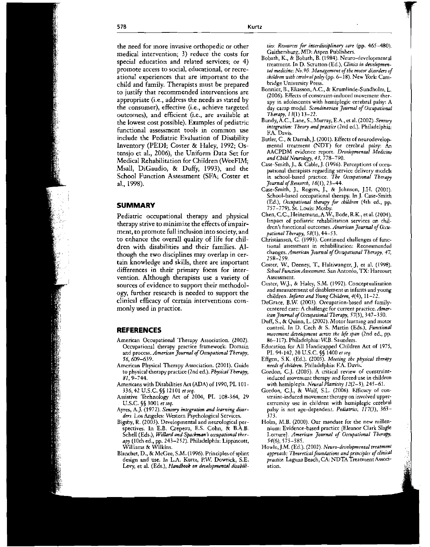the need for more invasive orthopedic or other medical intervention; 3) reduce the costs for special education and related services; or 4) promote access to social, educational, or recreational experiences that are important to the child and family. Therapists must be prepared to justify that recommended interventions are appropriate (i.e., address the needs as stated by the consumer), effective (i.e., achieve targeted outcomes), and efficient (i.e., are available at the lowest cost possible). Examples of pediatric functional assessment tools in common use include the Pediatric Evaluation of Disability Inventory (PEDI, Coster & Haley, 1992; Ostensio et al., 2006), the Uniform Data Set for Medical Rehabilitation for Children (WeeFIM; Msall, DiGaudio, & Duffy, 1993), and the School Function Assessment (SFA; Coster et al., 1998).

### **SUMMARY**

Pediatric occupational therapy and physical therapy strive to minimize the effects of impairment, to promote full inclusion into society, and to enhance the overall quality of life for children with disabilities and their families. Although the two disciplines may overlap in certain knowledge and skills, there are important differences in their primary focus for intervention. Although therapists use a variety of sources of evidence to support their methodology, further research is needed to support the clinical efficacy of certain interventions commonly used in practice.

### **REFERENCES**

- American Occupational Therapy Association. (2002). Occupational therapy practice framework. Domain and process. American Journal of Occupational Therapy, 56, 609-639.
- American Physical Therapy Association. (2001). Guide to physical therapy practice (2nd ed.). Physical Therapy,  $81, 9 - 744.$
- Americans with Disabilities Act (ADA) of 1990, PL 101-336, 42 U.S.C. §§ 12101 et seq.<br>Assistive Technology Act of 2004, PL 108-364, 29
- U.S.C. §§ 3001 et seq.
- Ayres, A.J. (1972). Sensory integration and learning disorders. Los Angeles: Western Psychological Services.
- Bigsby, R. (2003). Developmental and neurological perspectives. In E.B. Crepeau, E.S. Cohn, & B.A.B. Schell (Eds.), Willard and Spackman's occupational therapy (10th ed., pp. 243-252). Philadelphia: Lippincott, Williams & Wilkins.
- Blanchet, D., & McGee, S.M. (1996). Principles of splint design and use. In L.A. Kurtz, P.W. Dowrick, S.E. Levy, et al. (Eds.), Handbook on developmental disabili-

ties: Resources for interdisciplinary care (pp. 465-480). Gaithersburg, MD: Aspen Publishers.

- Bobath, K., & Bobath, B. (1984). Neuro-developmental treatment. In D. Scrutton (Ed.), Clinics in developmental medicine: No. 90. Management of the motor disorders of children with cerebral palsy (pp. 6-18). New York: Cambridge University Press.
- Bonnier, B., Eliasson, A.C., & Krumlinde-Sundholm, L. (2006). Effects of constraint-induced movement therapy in adolescents with hemiplegic cerebral palsy: A day camp model. Scandinavian Journal of Occupational Therapy, 13(1) 13-22.
- Bundy, A.C., Lane, S., Murray, E.A., et al. (2002). Sensory integration: Theory and practice (2nd ed.). Philadelphia: F.A. Davis.
- Butler, C., & Darrah, J. (2001). Effects of neurodevelopmental treatment (NDT) for cerebral palsy: An AACPDM evidence report. Developmental Medicine and Child Neurology, 43, 778-790.
- Case-Smith, I., & Cable, I. (1996). Perceptions of occupational therapists regarding service delivery models in school-based practice. The Occupational Therapy Journal of Research, 16(1), 23-44.
- Case-Smith, J., Rogers, J., & Johnson, J.H. (2001). School-based occupational therapy. In J. Case-Smith (Ed.), Occupational therapy for children (4th ed., pp. 757-779). St. Louis: Mosby
- Chen, C.C., Heinemann, A.W., Bode, R.K., et al. (2004). Impact of pediatric rehabilitation services on children's functional outcomes. American Journal of Occupational Therapy, 58(1), 44-53.
- Christiansen, C. (1993). Continued challenges of functional assessment in rehabilitation: Recommended changes. American Journal of Occupational Therapy, 47,  $258 - 259$
- Coster, W., Deeney, T., Haltiwanger, J., et al. (1998). School Function Assessment. San Antonio, TX: Hareourt Assessment.
- Coster, W.J., & Haley, S.M. (1992). Conceptualization and measurement of disablement in infants and young children. Infants and Young Children, 4(4), 11-22
- DeGrace, B.W. (2003). Occupation-based and familycentered care: A challenge for current practice. American Journal of Occupational Therapy, 57(3), 347-350.
- Duff, S., & Quinn, L. (2002). Motor learning and motor control. In D. Cech & S. Martin (Eds.), Functional movement development across the life span (2nd ed., pp. 86-117). Philadelphia: W.B. Saunders.
- Education for All Handicapped Children Act of 1975, PL 94-142, 20 U.S.C. §§ 1400 et seq.
- Effgen, S.K. (Ed.). (2005). Meeting the physical therapy needs of children. Philadelphia: F.A. Davis.
- Gordon, C.J. (2005). A critical review of constraintinduced movement therapy and forced use in children with hemiplegia. Neural Plasticity 12(2-3), 245-61.
- Gordon, C.J., & Wolf, S.L. (2006). Efficacy of constraint-induced movement therapy on involved upperextremity use in children with hemiplegic cerebral palsy is not age-dependent. Pediatrics, 117(3), 363-
- Holm, M.B. (2000). Our mandate for the new millennium: Evidence-based practice (Eleanor Clark Slagle Lecture]. American Journal of Occupational Therapy, 54(6), 575–585.
- Howle, J.M. (Ed.). (2002). Neuro-developmental treatment approach: Theoretical foundations and principles of clinical practice. Laguna Beach, CA: NDTA Treatment Association.